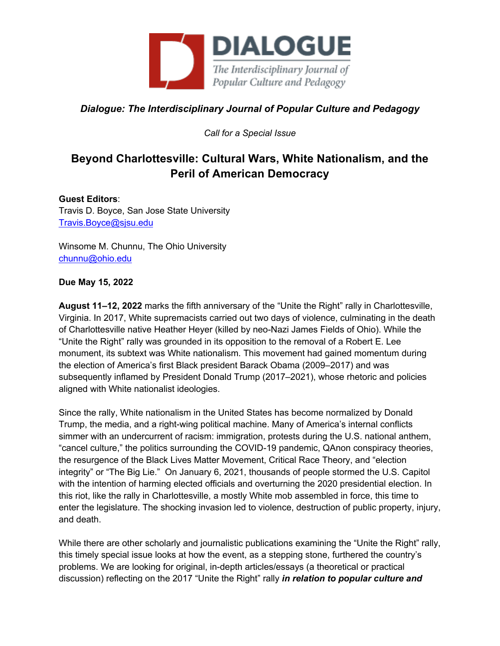

*Dialogue: The Interdisciplinary Journal of Popular Culture and Pedagogy*

*Call for a Special Issue*

## **Beyond Charlottesville: Cultural Wars, White Nationalism, and the Peril of American Democracy**

## **Guest Editors**:

Travis D. Boyce, San Jose State University Travis.Boyce@sjsu.edu

Winsome M. Chunnu, The Ohio University chunnu@ohio.edu

## **Due May 15, 2022**

**August 11–12, 2022** marks the fifth anniversary of the "Unite the Right" rally in Charlottesville, Virginia. In 2017, White supremacists carried out two days of violence, culminating in the death of Charlottesville native Heather Heyer (killed by neo-Nazi James Fields of Ohio). While the "Unite the Right" rally was grounded in its opposition to the removal of a Robert E. Lee monument, its subtext was White nationalism. This movement had gained momentum during the election of America's first Black president Barack Obama (2009–2017) and was subsequently inflamed by President Donald Trump (2017–2021), whose rhetoric and policies aligned with White nationalist ideologies.

Since the rally, White nationalism in the United States has become normalized by Donald Trump, the media, and a right-wing political machine. Many of America's internal conflicts simmer with an undercurrent of racism: immigration, protests during the U.S. national anthem, "cancel culture," the politics surrounding the COVID-19 pandemic, QAnon conspiracy theories, the resurgence of the Black Lives Matter Movement, Critical Race Theory, and "election integrity" or "The Big Lie." On January 6, 2021, thousands of people stormed the U.S. Capitol with the intention of harming elected officials and overturning the 2020 presidential election. In this riot, like the rally in Charlottesville, a mostly White mob assembled in force, this time to enter the legislature. The shocking invasion led to violence, destruction of public property, injury, and death.

While there are other scholarly and journalistic publications examining the "Unite the Right" rally, this timely special issue looks at how the event, as a stepping stone, furthered the country's problems. We are looking for original, in-depth articles/essays (a theoretical or practical discussion) reflecting on the 2017 "Unite the Right" rally *in relation to popular culture and*